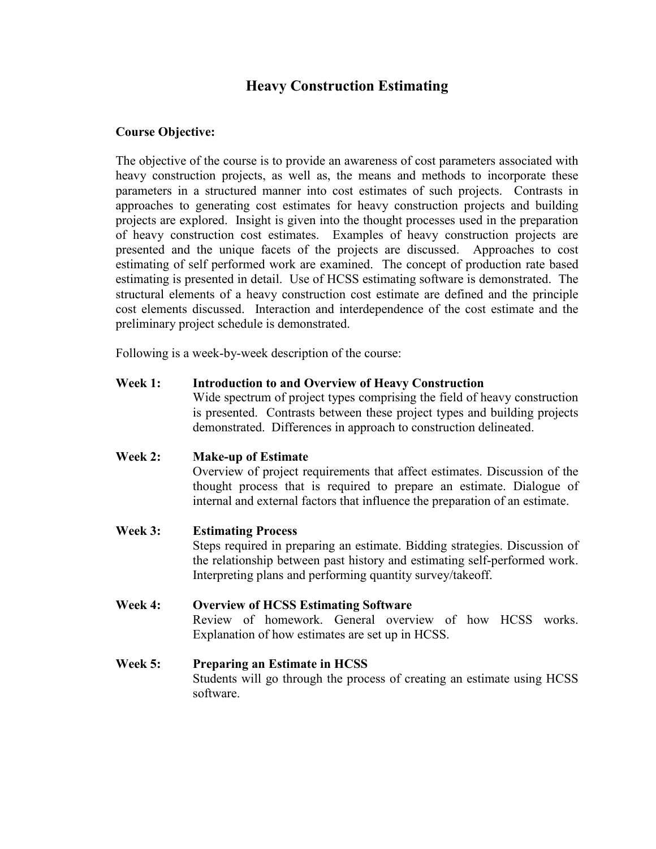# **Heavy Construction Estimating**

#### **Course Objective:**

The objective of the course is to provide an awareness of cost parameters associated with heavy construction projects, as well as, the means and methods to incorporate these parameters in a structured manner into cost estimates of such projects. Contrasts in approaches to generating cost estimates for heavy construction projects and building projects are explored. Insight is given into the thought processes used in the preparation of heavy construction cost estimates. Examples of heavy construction projects are presented and the unique facets of the projects are discussed. Approaches to cost estimating of self performed work are examined. The concept of production rate based estimating is presented in detail. Use of HCSS estimating software is demonstrated. The structural elements of a heavy construction cost estimate are defined and the principle cost elements discussed. Interaction and interdependence of the cost estimate and the preliminary project schedule is demonstrated.

Following is a week-by-week description of the course:

**Week 1: Introduction to and Overview of Heavy Construction**

Wide spectrum of project types comprising the field of heavy construction is presented. Contrasts between these project types and building projects demonstrated. Differences in approach to construction delineated.

**Week 2: Make-up of Estimate**

Overview of project requirements that affect estimates. Discussion of the thought process that is required to prepare an estimate. Dialogue of internal and external factors that influence the preparation of an estimate.

**Week 3: Estimating Process** Steps required in preparing an estimate. Bidding strategies. Discussion of the relationship between past history and estimating self-performed work. Interpreting plans and performing quantity survey/takeoff.

- **Week 4: Overview of HCSS Estimating Software** Review of homework. General overview of how HCSS works. Explanation of how estimates are set up in HCSS.
- **Week 5: Preparing an Estimate in HCSS** Students will go through the process of creating an estimate using HCSS software.